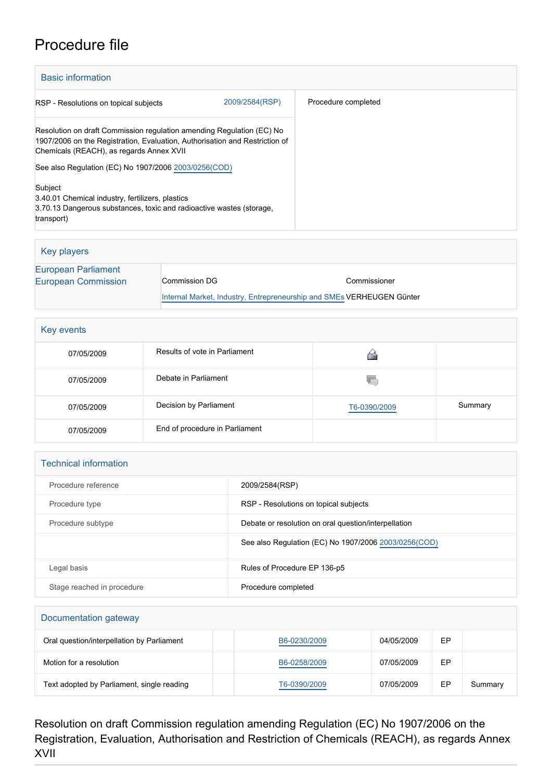## Procedure file

| <b>Basic information</b>                                                                                                                                                                         |                     |  |
|--------------------------------------------------------------------------------------------------------------------------------------------------------------------------------------------------|---------------------|--|
| 2009/2584(RSP)<br>RSP - Resolutions on topical subjects                                                                                                                                          | Procedure completed |  |
| Resolution on draft Commission regulation amending Regulation (EC) No<br>1907/2006 on the Registration, Evaluation, Authorisation and Restriction of<br>Chemicals (REACH), as regards Annex XVII |                     |  |
| See also Regulation (EC) No 1907/2006 2003/0256(COD)                                                                                                                                             |                     |  |
| Subject<br>3.40.01 Chemical industry, fertilizers, plastics<br>3.70.13 Dangerous substances, toxic and radioactive wastes (storage,<br>transport)                                                |                     |  |

| Key players                                |                                                                       |              |
|--------------------------------------------|-----------------------------------------------------------------------|--------------|
| European Parliament<br>European Commission | Commission DG                                                         | Commissioner |
|                                            | Internal Market, Industry, Entrepreneurship and SMEs VERHEUGEN Günter |              |

| Key events |                                |              |         |
|------------|--------------------------------|--------------|---------|
| 07/05/2009 | Results of vote in Parliament  |              |         |
| 07/05/2009 | Debate in Parliament           | ۷C           |         |
| 07/05/2009 | Decision by Parliament         | T6-0390/2009 | Summary |
| 07/05/2009 | End of procedure in Parliament |              |         |

| <b>Technical information</b> |                                                       |  |
|------------------------------|-------------------------------------------------------|--|
| Procedure reference          | 2009/2584(RSP)                                        |  |
| Procedure type               | RSP - Resolutions on topical subjects                 |  |
| Procedure subtype            | Debate or resolution on oral question/interpellation  |  |
|                              | See also Regulation (EC) No 1907/2006 2003/0256 (COD) |  |
| Legal basis                  | Rules of Procedure EP 136-p5                          |  |
| Stage reached in procedure   | Procedure completed                                   |  |

## Documentation gateway Oral question/interpellation by Parliament [B6-0230/2009](https://www.europarl.europa.eu/doceo/document/B-6-2009-0230_EN.html) B6-0230/2009 B7 Motion for a resolution and the state of the [B6-0258/2009](https://www.europarl.europa.eu/doceo/document/B-6-2009-0258_EN.html) **EP** B6-0258/2009 **EP** Text adopted by Parliament, single reading [T6-0390/2009](https://www.europarl.europa.eu/doceo/document/TA-6-2009-0390_EN.html) 07/05/2009 EP Summary

Resolution on draft Commission regulation amending Regulation (EC) No 1907/2006 on the Registration, Evaluation, Authorisation and Restriction of Chemicals (REACH), as regards Annex XVII